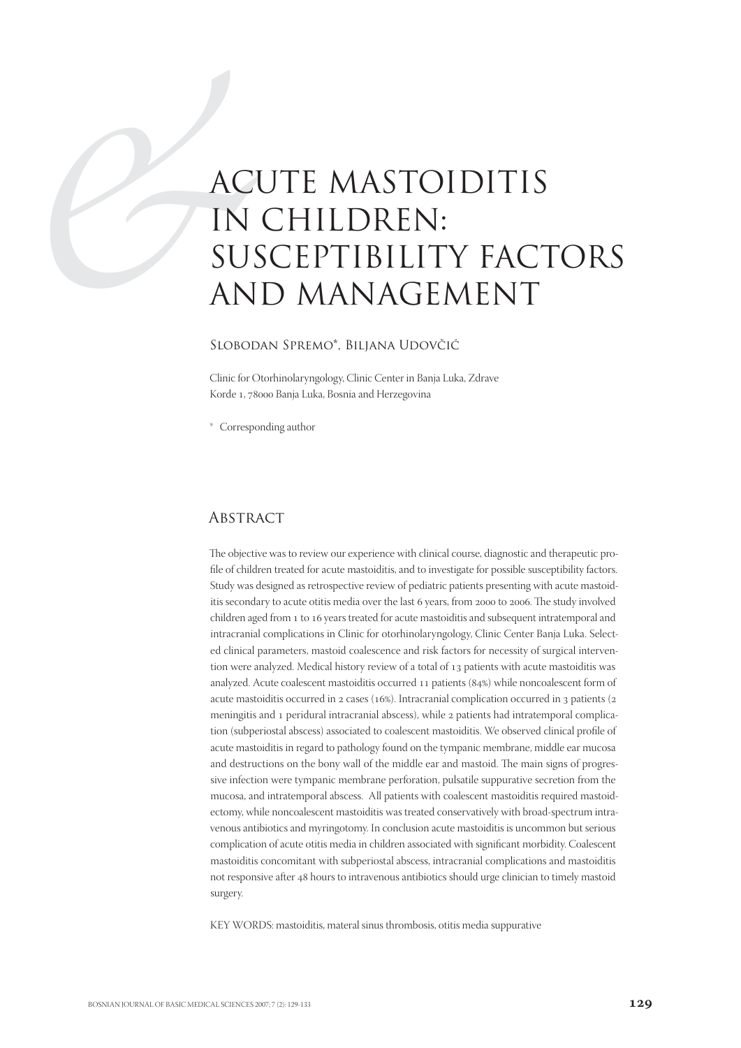# ACI<br>
IN<br>
SUS<br>
AN<br>
SLOBOD ACUTE MASTOIDITIS IN CHILDREN: SUSCEPTIBILITY FACTORS AND MANAGEMENT

#### Slobodan Spremo\*, Biljana Udovčić

Clinic for Otorhinolaryngology, Clinic Center in Banja Luka, Zdrave Korde 1, 78000 Banja Luka, Bosnia and Herzegovina

\* Corresponding author

#### **ABSTRACT**

The objective was to review our experience with clinical course, diagnostic and therapeutic profile of children treated for acute mastoiditis, and to investigate for possible susceptibility factors. Study was designed as retrospective review of pediatric patients presenting with acute mastoiditis secondary to acute otitis media over the last 6 years, from 2000 to 2006. The study involved children aged from 1 to 16 years treated for acute mastoiditis and subsequent intratemporal and intracranial complications in Clinic for otorhinolaryngology, Clinic Center Banja Luka. Selected clinical parameters, mastoid coalescence and risk factors for necessity of surgical intervention were analyzed. Medical history review of a total of 13 patients with acute mastoiditis was analyzed. Acute coalescent mastoiditis occurred  $11$  patients (84%) while noncoalescent form of acute mastoiditis occurred in  $2$  cases (16%). Intracranial complication occurred in  $3$  patients ( $2$ meningitis and 1 peridural intracranial abscess), while 2 patients had intratemporal complication (subperiostal abscess) associated to coalescent mastoiditis. We observed clinical profile of acute mastoiditis in regard to pathology found on the tympanic membrane, middle ear mucosa and destructions on the bony wall of the middle ear and mastoid. The main signs of progressive infection were tympanic membrane perforation, pulsatile suppurative secretion from the mucosa, and intratemporal abscess. All patients with coalescent mastoiditis required mastoidectomy, while noncoalescent mastoiditis was treated conservatively with broad-spectrum intravenous antibiotics and myringotomy. In conclusion acute mastoiditis is uncommon but serious complication of acute otitis media in children associated with significant morbidity. Coalescent mastoiditis concomitant with subperiostal abscess, intracranial complications and mastoiditis not responsive after 48 hours to intravenous antibiotics should urge clinician to timely mastoid surgery.

KEY WORDS: mastoiditis, materal sinus thrombosis, otitis media suppurative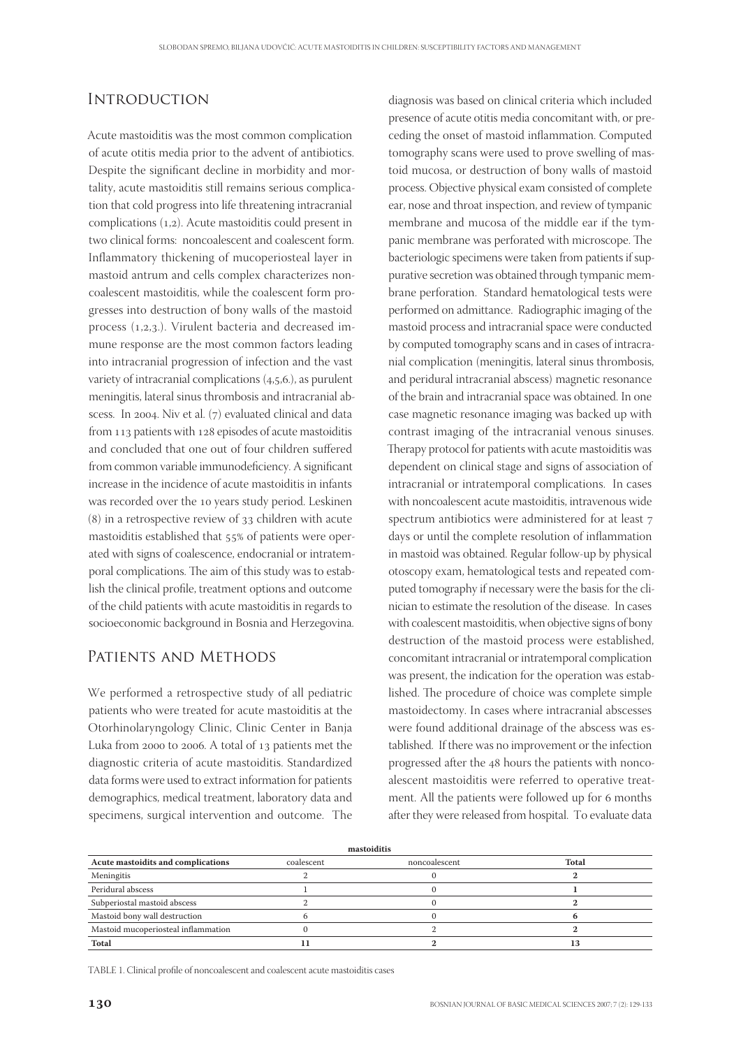## **INTRODUCTION**

Acute mastoiditis was the most common complication of acute otitis media prior to the advent of antibiotics. Despite the significant decline in morbidity and mortality, acute mastoiditis still remains serious complication that cold progress into life threatening intracranial complications  $(1,2)$ . Acute mastoiditis could present in two clinical forms: noncoalescent and coalescent form. Inflammatory thickening of mucoperiosteal layer in mastoid antrum and cells complex characterizes noncoalescent mastoiditis, while the coalescent form progresses into destruction of bony walls of the mastoid process  $(1,2,3)$ . Virulent bacteria and decreased immune response are the most common factors leading into intracranial progression of infection and the vast variety of intracranial complications  $(4,5,6)$ , as purulent meningitis, lateral sinus thrombosis and intracranial abscess. In 2004. Niv et al.  $(7)$  evaluated clinical and data from  $113$  patients with  $128$  episodes of acute mastoiditis and concluded that one out of four children suffered from common variable immunodeficiency. A significant increase in the incidence of acute mastoiditis in infants was recorded over the 10 years study period. Leskinen  $(8)$  in a retrospective review of  $33$  children with acute mastoiditis established that 55% of patients were operated with signs of coalescence, endocranial or intratemporal complications. The aim of this study was to establish the clinical profile, treatment options and outcome of the child patients with acute mastoiditis in regards to socioeconomic background in Bosnia and Herzegovina.

### Patients and Methods

We performed a retrospective study of all pediatric patients who were treated for acute mastoiditis at the Otorhinolaryngology Clinic, Clinic Center in Banja Luka from 2000 to 2006. A total of 13 patients met the diagnostic criteria of acute mastoiditis. Standardized data forms were used to extract information for patients demographics, medical treatment, laboratory data and specimens, surgical intervention and outcome. The

diagnosis was based on clinical criteria which included presence of acute otitis media concomitant with, or preceding the onset of mastoid inflammation. Computed tomography scans were used to prove swelling of mastoid mucosa, or destruction of bony walls of mastoid process. Objective physical exam consisted of complete ear, nose and throat inspection, and review of tympanic membrane and mucosa of the middle ear if the tympanic membrane was perforated with microscope. The bacteriologic specimens were taken from patients if suppurative secretion was obtained through tympanic membrane perforation. Standard hematological tests were performed on admittance. Radiographic imaging of the mastoid process and intracranial space were conducted by computed tomography scans and in cases of intracranial complication (meningitis, lateral sinus thrombosis, and peridural intracranial abscess) magnetic resonance of the brain and intracranial space was obtained. In one case magnetic resonance imaging was backed up with contrast imaging of the intracranial venous sinuses. Therapy protocol for patients with acute mastoiditis was dependent on clinical stage and signs of association of intracranial or intratemporal complications. In cases with noncoalescent acute mastoiditis, intravenous wide spectrum antibiotics were administered for at least days or until the complete resolution of inflammation in mastoid was obtained. Regular follow-up by physical otoscopy exam, hematological tests and repeated computed tomography if necessary were the basis for the clinician to estimate the resolution of the disease. In cases with coalescent mastoiditis, when objective signs of bony destruction of the mastoid process were established, concomitant intracranial or intratemporal complication was present, the indication for the operation was established. The procedure of choice was complete simple mastoidectomy. In cases where intracranial abscesses were found additional drainage of the abscess was established. If there was no improvement or the infection progressed after the 48 hours the patients with noncoalescent mastoiditis were referred to operative treatment. All the patients were followed up for 6 months after they were released from hospital. To evaluate data

| mastoiditis                         |            |               |       |  |  |
|-------------------------------------|------------|---------------|-------|--|--|
| Acute mastoidits and complications  | coalescent | noncoalescent | Total |  |  |
| Meningitis                          |            |               |       |  |  |
| Peridural abscess                   |            |               |       |  |  |
| Subperiostal mastoid abscess        |            |               |       |  |  |
| Mastoid bony wall destruction       |            |               |       |  |  |
| Mastoid mucoperiosteal inflammation |            |               |       |  |  |
| Total                               |            |               | 13    |  |  |

TABLE 1. Clinical profile of noncoalescent and coalescent acute mastoiditis cases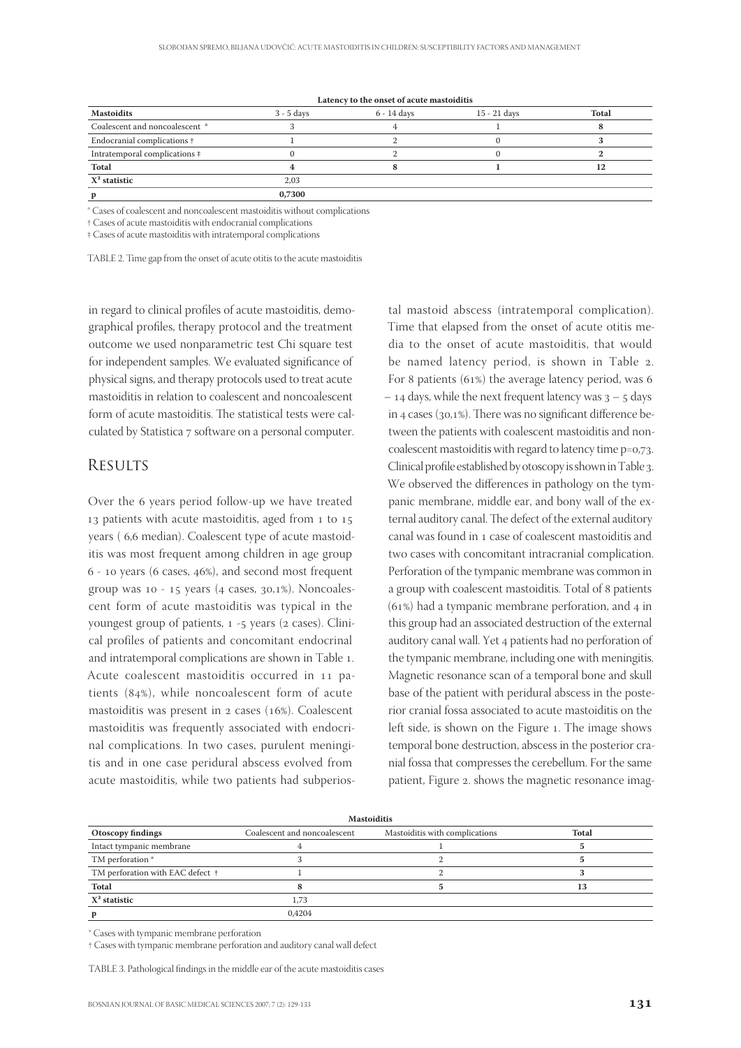| <b>Mastoidits</b>                     | $3 - 5$ days | 6 - 14 days | 15 - 21 days | Total |
|---------------------------------------|--------------|-------------|--------------|-------|
| Coalescent and noncoalescent *        |              |             |              |       |
| Endocranial complications +           |              |             |              |       |
| Intratemporal complications $\dagger$ |              |             |              |       |
| Total                                 |              |             |              | 12    |
| $X^2$ statistic                       | 2.03         |             |              |       |
|                                       | 0,7300       |             |              |       |

**Latency to the onset of acute mastoiditis**

\* Cases of coalescent and noncoalescent mastoiditis without complications

† Cases of acute mastoiditis with endocranial complications

‡ Cases of acute mastoiditis with intratemporal complications

TABLE 2. Time gap from the onset of acute otitis to the acute mastoiditis

in regard to clinical profiles of acute mastoiditis, demographical profiles, therapy protocol and the treatment outcome we used nonparametric test Chi square test for independent samples. We evaluated significance of physical signs, and therapy protocols used to treat acute mastoiditis in relation to coalescent and noncoalescent form of acute mastoiditis. The statistical tests were calculated by Statistica 7 software on a personal computer.

#### **RESULTS**

Over the 6 years period follow-up we have treated 13 patients with acute mastoiditis, aged from  $1$  to  $15$ years (6,6 median). Coalescent type of acute mastoiditis was most frequent among children in age group  $6 - 10$  years (6 cases, 46%), and second most frequent group was  $10 - 15$  years (4 cases,  $30,1\%$ ). Noncoalescent form of acute mastoiditis was typical in the youngest group of patients,  $1 - 5$  years ( $2$  cases). Clinical profiles of patients and concomitant endocrinal and intratemporal complications are shown in Table 1. Acute coalescent mastoiditis occurred in 11 patients  $(84%)$ , while noncoalescent form of acute mastoiditis was present in  $2$  cases (16%). Coalescent mastoiditis was frequently associated with endocrinal complications. In two cases, purulent meningitis and in one case peridural abscess evolved from acute mastoiditis, while two patients had subperios-

tal mastoid abscess (intratemporal complication). Time that elapsed from the onset of acute otitis media to the onset of acute mastoiditis, that would be named latency period, is shown in Table 2. For 8 patients (61%) the average latency period, was 6  $-$  14 days, while the next frequent latency was  $3 - 5$  days in 4 cases ( $30,1\%$ ). There was no significant difference between the patients with coalescent mastoiditis and noncoalescent mastoiditis with regard to latency time  $p=0.73$ . Clinical profile established by otoscopy is shown in Table 3. We observed the differences in pathology on the tympanic membrane, middle ear, and bony wall of the external auditory canal. The defect of the external auditory canal was found in case of coalescent mastoiditis and two cases with concomitant intracranial complication. Perforation of the tympanic membrane was common in a group with coalescent mastoiditis. Total of 8 patients  $(61%)$  had a tympanic membrane perforation, and 4 in this group had an associated destruction of the external auditory canal wall. Yet 4 patients had no perforation of the tympanic membrane, including one with meningitis. Magnetic resonance scan of a temporal bone and skull base of the patient with peridural abscess in the posterior cranial fossa associated to acute mastoiditis on the left side, is shown on the Figure 1. The image shows temporal bone destruction, abscess in the posterior cranial fossa that compresses the cerebellum. For the same patient, Figure 2. shows the magnetic resonance imag-

| <b>Mastoiditis</b>               |                              |                                |              |  |  |  |
|----------------------------------|------------------------------|--------------------------------|--------------|--|--|--|
| Otoscopy findings                | Coalescent and noncoalescent | Mastoiditis with complications | <b>Total</b> |  |  |  |
| Intact tympanic membrane         |                              |                                |              |  |  |  |
| TM perforation *                 |                              |                                |              |  |  |  |
| TM perforation with EAC defect + |                              |                                |              |  |  |  |
| Total                            |                              |                                | 13           |  |  |  |
| $X^2$ statistic                  | 1,73                         |                                |              |  |  |  |
| p                                | 0.4204                       |                                |              |  |  |  |

\* Cases with tympanic membrane perforation

† Cases with tympanic membrane perforation and auditory canal wall defect

TABLE 3. Pathological findings in the middle ear of the acute mastoiditis cases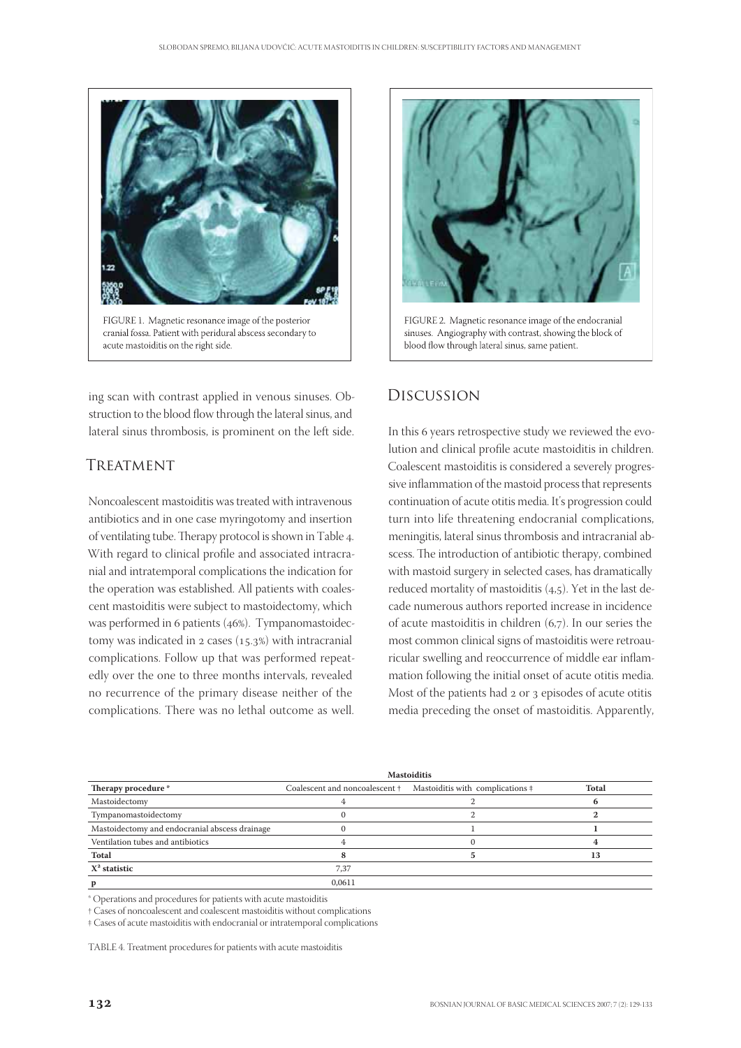

ing scan with contrast applied in venous sinuses. Obstruction to the blood flow through the lateral sinus, and lateral sinus thrombosis, is prominent on the left side.

## TREATMENT

Noncoalescent mastoiditis was treated with intravenous antibiotics and in one case myringotomy and insertion of ventilating tube. Therapy protocol is shown in Table 4. With regard to clinical profile and associated intracranial and intratemporal complications the indication for the operation was established. All patients with coalescent mastoiditis were subject to mastoidectomy, which was performed in 6 patients (46%). Tympanomastoidectomy was indicated in  $2 \csc (15.3\%)$  with intracranial complications. Follow up that was performed repeatedly over the one to three months intervals, revealed no recurrence of the primary disease neither of the complications. There was no lethal outcome as well.



FIGURE 2. Magnetic resonance image of the endocranial sinuses. Angiography with contrast, showing the block of blood flow through lateral sinus, same patient.

## Discussion

In this 6 years retrospective study we reviewed the evolution and clinical profile acute mastoiditis in children. Coalescent mastoiditis is considered a severely progressive inflammation of the mastoid process that represents continuation of acute otitis media. It's progression could turn into life threatening endocranial complications, meningitis, lateral sinus thrombosis and intracranial abscess. The introduction of antibiotic therapy, combined with mastoid surgery in selected cases, has dramatically reduced mortality of mastoiditis  $(4,5)$ . Yet in the last decade numerous authors reported increase in incidence of acute mastoiditis in children  $(6,7)$ . In our series the most common clinical signs of mastoiditis were retroauricular swelling and reoccurrence of middle ear inflammation following the initial onset of acute otitis media. Most of the patients had 2 or 3 episodes of acute otitis media preceding the onset of mastoiditis. Apparently,

|                                                | <b>Mastoiditis</b> |                                                                 |       |
|------------------------------------------------|--------------------|-----------------------------------------------------------------|-------|
| Therapy procedure *                            |                    | Coalescent and noncoalescent + Mastoiditis with complications + | Total |
| Mastoidectomy                                  |                    |                                                                 |       |
| Tympanomastoidectomy                           |                    |                                                                 |       |
| Mastoidectomy and endocranial abscess drainage |                    |                                                                 |       |
| Ventilation tubes and antibiotics              |                    |                                                                 |       |
| Total                                          |                    |                                                                 | 13    |
| $X^2$ statistic                                | 7.37               |                                                                 |       |
|                                                | 0.0611             |                                                                 |       |

\* Operations and procedures for patients with acute mastoiditis

† Cases of noncoalescent and coalescent mastoiditis without complications

‡ Cases of acute mastoiditis with endocranial or intratemporal complications

TABLE 4. Treatment procedures for patients with acute mastoiditis